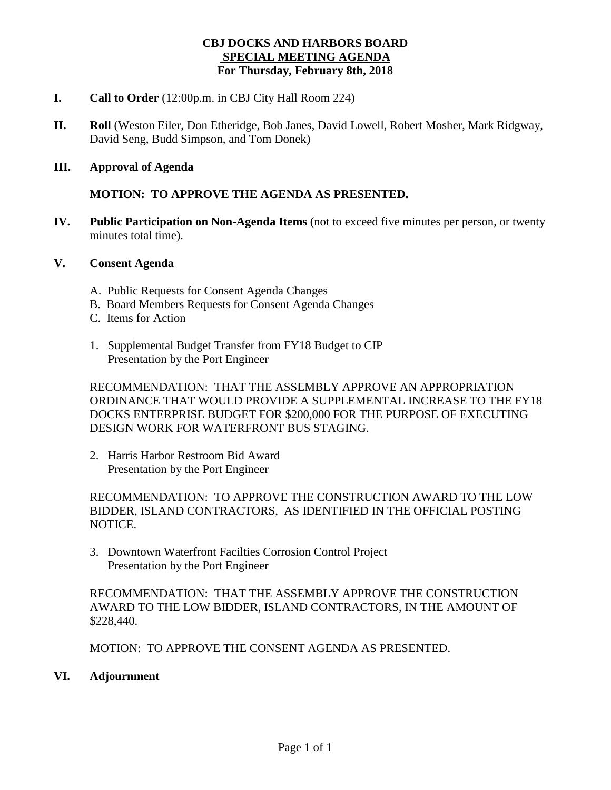### **CBJ DOCKS AND HARBORS BOARD SPECIAL MEETING AGENDA For Thursday, February 8th, 2018**

- **I. Call to Order** (12:00p.m. in CBJ City Hall Room 224)
- **II. Roll** (Weston Eiler, Don Etheridge, Bob Janes, David Lowell, Robert Mosher, Mark Ridgway, David Seng, Budd Simpson, and Tom Donek)
- **III. Approval of Agenda**

### **MOTION: TO APPROVE THE AGENDA AS PRESENTED.**

**IV. Public Participation on Non-Agenda Items** (not to exceed five minutes per person, or twenty minutes total time).

#### **V. Consent Agenda**

- A. Public Requests for Consent Agenda Changes
- B. Board Members Requests for Consent Agenda Changes
- C. Items for Action
- 1. Supplemental Budget Transfer from FY18 Budget to CIP Presentation by the Port Engineer

RECOMMENDATION: THAT THE ASSEMBLY APPROVE AN APPROPRIATION ORDINANCE THAT WOULD PROVIDE A SUPPLEMENTAL INCREASE TO THE FY18 DOCKS ENTERPRISE BUDGET FOR \$200,000 FOR THE PURPOSE OF EXECUTING DESIGN WORK FOR WATERFRONT BUS STAGING.

2. Harris Harbor Restroom Bid Award Presentation by the Port Engineer

RECOMMENDATION: TO APPROVE THE CONSTRUCTION AWARD TO THE LOW BIDDER, ISLAND CONTRACTORS, AS IDENTIFIED IN THE OFFICIAL POSTING NOTICE.

3. Downtown Waterfront Facilties Corrosion Control Project Presentation by the Port Engineer

RECOMMENDATION: THAT THE ASSEMBLY APPROVE THE CONSTRUCTION AWARD TO THE LOW BIDDER, ISLAND CONTRACTORS, IN THE AMOUNT OF \$228,440.

MOTION: TO APPROVE THE CONSENT AGENDA AS PRESENTED.

#### **VI. Adjournment**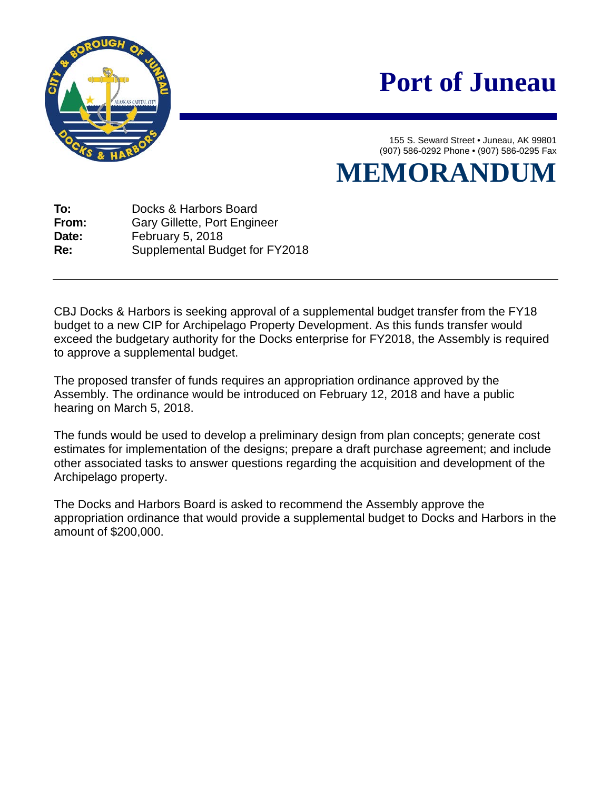

# **Port of Juneau**

155 S. Seward Street • Juneau, AK 99801 (907) 586-0292 Phone • (907) 586-0295 Fax

**MEMORANDUM**

**To:** Docks & Harbors Board **From:** Gary Gillette, Port Engineer<br> **Date:** February 5, 2018 **Date:** February 5, 2018 **Re:** Supplemental Budget for FY2018

CBJ Docks & Harbors is seeking approval of a supplemental budget transfer from the FY18 budget to a new CIP for Archipelago Property Development. As this funds transfer would exceed the budgetary authority for the Docks enterprise for FY2018, the Assembly is required to approve a supplemental budget.

The proposed transfer of funds requires an appropriation ordinance approved by the Assembly. The ordinance would be introduced on February 12, 2018 and have a public hearing on March 5, 2018.

The funds would be used to develop a preliminary design from plan concepts; generate cost estimates for implementation of the designs; prepare a draft purchase agreement; and include other associated tasks to answer questions regarding the acquisition and development of the Archipelago property.

The Docks and Harbors Board is asked to recommend the Assembly approve the appropriation ordinance that would provide a supplemental budget to Docks and Harbors in the amount of \$200,000.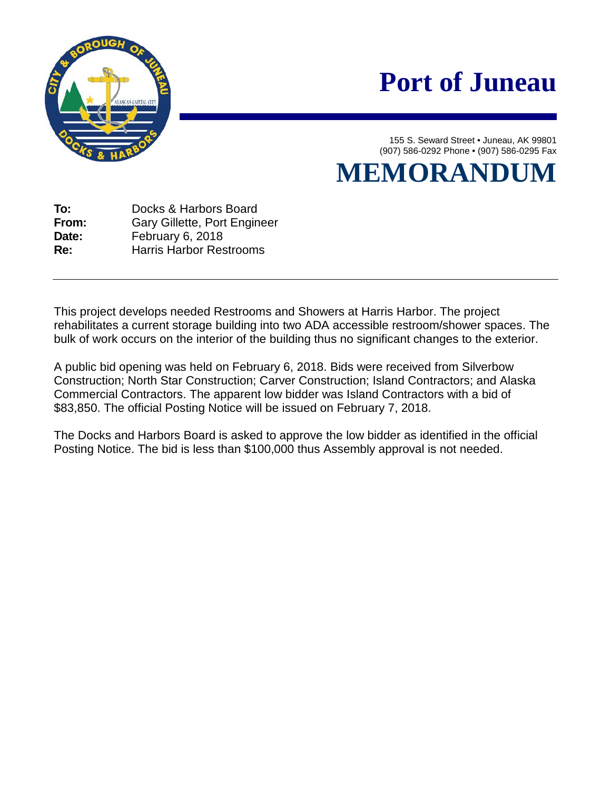

# **Port of Juneau**

155 S. Seward Street • Juneau, AK 99801 (907) 586-0292 Phone • (907) 586-0295 Fax

**MEMORANDUM**

**To:** Docks & Harbors Board **From:** Gary Gillette, Port Engineer<br> **Date:** February 6. 2018 **Date:** February 6, 2018 **Re:** Harris Harbor Restrooms

This project develops needed Restrooms and Showers at Harris Harbor. The project rehabilitates a current storage building into two ADA accessible restroom/shower spaces. The bulk of work occurs on the interior of the building thus no significant changes to the exterior.

A public bid opening was held on February 6, 2018. Bids were received from Silverbow Construction; North Star Construction; Carver Construction; Island Contractors; and Alaska Commercial Contractors. The apparent low bidder was Island Contractors with a bid of \$83,850. The official Posting Notice will be issued on February 7, 2018.

The Docks and Harbors Board is asked to approve the low bidder as identified in the official Posting Notice. The bid is less than \$100,000 thus Assembly approval is not needed.